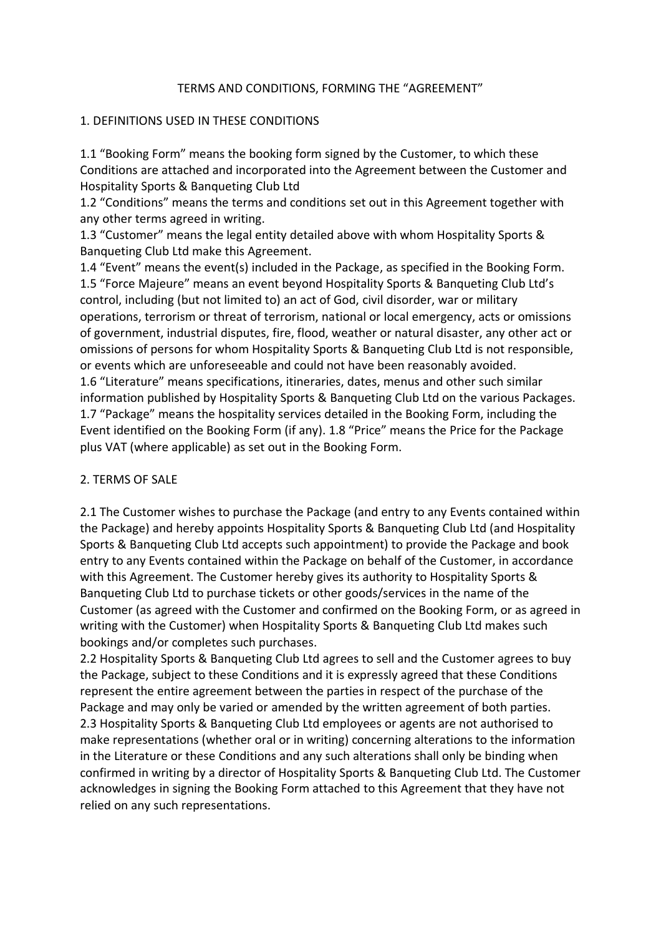### TERMS AND CONDITIONS, FORMING THE "AGREEMENT"

### 1. DEFINITIONS USED IN THESE CONDITIONS

1.1 "Booking Form" means the booking form signed by the Customer, to which these Conditions are attached and incorporated into the Agreement between the Customer and Hospitality Sports & Banqueting Club Ltd

1.2 "Conditions" means the terms and conditions set out in this Agreement together with any other terms agreed in writing.

1.3 "Customer" means the legal entity detailed above with whom Hospitality Sports & Banqueting Club Ltd make this Agreement.

1.4 "Event" means the event(s) included in the Package, as specified in the Booking Form. 1.5 "Force Majeure" means an event beyond Hospitality Sports & Banqueting Club Ltd's control, including (but not limited to) an act of God, civil disorder, war or military operations, terrorism or threat of terrorism, national or local emergency, acts or omissions of government, industrial disputes, fire, flood, weather or natural disaster, any other act or omissions of persons for whom Hospitality Sports & Banqueting Club Ltd is not responsible, or events which are unforeseeable and could not have been reasonably avoided. 1.6 "Literature" means specifications, itineraries, dates, menus and other such similar information published by Hospitality Sports & Banqueting Club Ltd on the various Packages. 1.7 "Package" means the hospitality services detailed in the Booking Form, including the Event identified on the Booking Form (if any). 1.8 "Price" means the Price for the Package plus VAT (where applicable) as set out in the Booking Form.

## 2. TERMS OF SALE

2.1 The Customer wishes to purchase the Package (and entry to any Events contained within the Package) and hereby appoints Hospitality Sports & Banqueting Club Ltd (and Hospitality Sports & Banqueting Club Ltd accepts such appointment) to provide the Package and book entry to any Events contained within the Package on behalf of the Customer, in accordance with this Agreement. The Customer hereby gives its authority to Hospitality Sports & Banqueting Club Ltd to purchase tickets or other goods/services in the name of the Customer (as agreed with the Customer and confirmed on the Booking Form, or as agreed in writing with the Customer) when Hospitality Sports & Banqueting Club Ltd makes such bookings and/or completes such purchases.

2.2 Hospitality Sports & Banqueting Club Ltd agrees to sell and the Customer agrees to buy the Package, subject to these Conditions and it is expressly agreed that these Conditions represent the entire agreement between the parties in respect of the purchase of the Package and may only be varied or amended by the written agreement of both parties. 2.3 Hospitality Sports & Banqueting Club Ltd employees or agents are not authorised to make representations (whether oral or in writing) concerning alterations to the information in the Literature or these Conditions and any such alterations shall only be binding when confirmed in writing by a director of Hospitality Sports & Banqueting Club Ltd. The Customer acknowledges in signing the Booking Form attached to this Agreement that they have not relied on any such representations.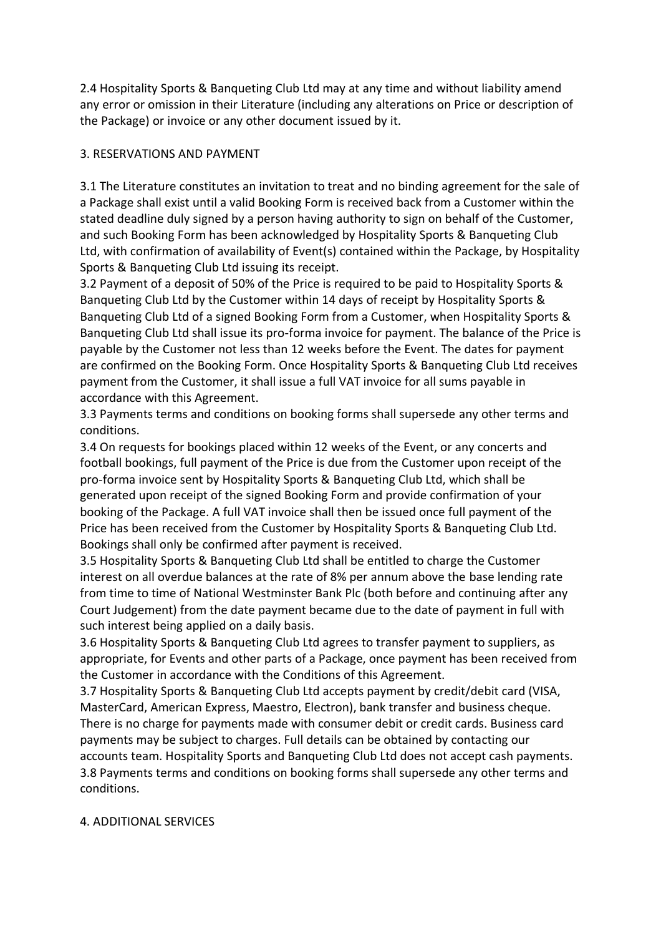2.4 Hospitality Sports & Banqueting Club Ltd may at any time and without liability amend any error or omission in their Literature (including any alterations on Price or description of the Package) or invoice or any other document issued by it.

## 3. RESERVATIONS AND PAYMENT

3.1 The Literature constitutes an invitation to treat and no binding agreement for the sale of a Package shall exist until a valid Booking Form is received back from a Customer within the stated deadline duly signed by a person having authority to sign on behalf of the Customer, and such Booking Form has been acknowledged by Hospitality Sports & Banqueting Club Ltd, with confirmation of availability of Event(s) contained within the Package, by Hospitality Sports & Banqueting Club Ltd issuing its receipt.

3.2 Payment of a deposit of 50% of the Price is required to be paid to Hospitality Sports & Banqueting Club Ltd by the Customer within 14 days of receipt by Hospitality Sports & Banqueting Club Ltd of a signed Booking Form from a Customer, when Hospitality Sports & Banqueting Club Ltd shall issue its pro-forma invoice for payment. The balance of the Price is payable by the Customer not less than 12 weeks before the Event. The dates for payment are confirmed on the Booking Form. Once Hospitality Sports & Banqueting Club Ltd receives payment from the Customer, it shall issue a full VAT invoice for all sums payable in accordance with this Agreement.

3.3 Payments terms and conditions on booking forms shall supersede any other terms and conditions.

3.4 On requests for bookings placed within 12 weeks of the Event, or any concerts and football bookings, full payment of the Price is due from the Customer upon receipt of the pro-forma invoice sent by Hospitality Sports & Banqueting Club Ltd, which shall be generated upon receipt of the signed Booking Form and provide confirmation of your booking of the Package. A full VAT invoice shall then be issued once full payment of the Price has been received from the Customer by Hospitality Sports & Banqueting Club Ltd. Bookings shall only be confirmed after payment is received.

3.5 Hospitality Sports & Banqueting Club Ltd shall be entitled to charge the Customer interest on all overdue balances at the rate of 8% per annum above the base lending rate from time to time of National Westminster Bank Plc (both before and continuing after any Court Judgement) from the date payment became due to the date of payment in full with such interest being applied on a daily basis.

3.6 Hospitality Sports & Banqueting Club Ltd agrees to transfer payment to suppliers, as appropriate, for Events and other parts of a Package, once payment has been received from the Customer in accordance with the Conditions of this Agreement.

3.7 Hospitality Sports & Banqueting Club Ltd accepts payment by credit/debit card (VISA, MasterCard, American Express, Maestro, Electron), bank transfer and business cheque. There is no charge for payments made with consumer debit or credit cards. Business card payments may be subject to charges. Full details can be obtained by contacting our accounts team. Hospitality Sports and Banqueting Club Ltd does not accept cash payments. 3.8 Payments terms and conditions on booking forms shall supersede any other terms and conditions.

## 4. ADDITIONAL SERVICES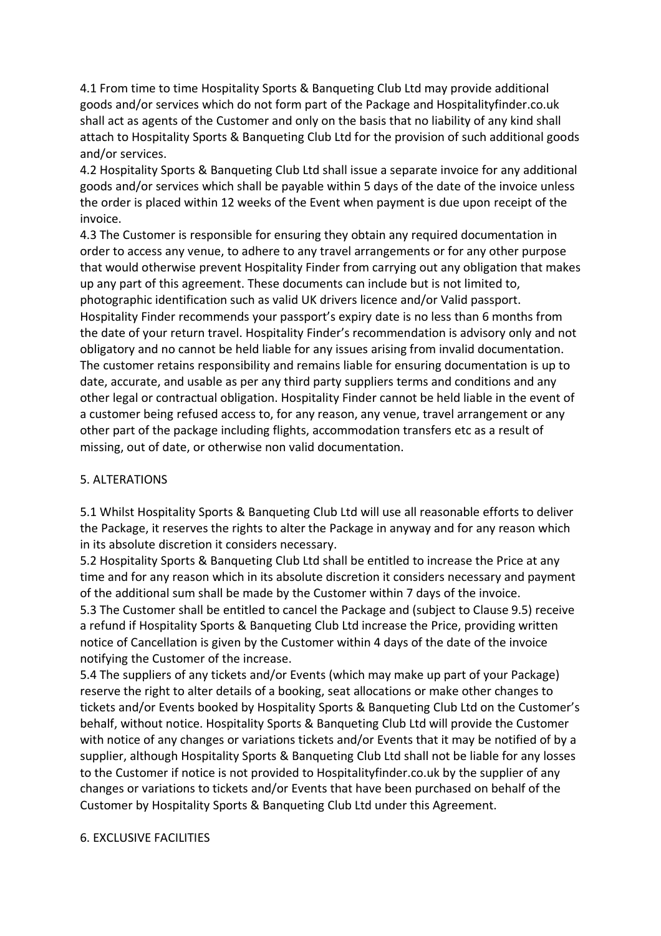4.1 From time to time Hospitality Sports & Banqueting Club Ltd may provide additional goods and/or services which do not form part of the Package and Hospitalityfinder.co.uk shall act as agents of the Customer and only on the basis that no liability of any kind shall attach to Hospitality Sports & Banqueting Club Ltd for the provision of such additional goods and/or services.

4.2 Hospitality Sports & Banqueting Club Ltd shall issue a separate invoice for any additional goods and/or services which shall be payable within 5 days of the date of the invoice unless the order is placed within 12 weeks of the Event when payment is due upon receipt of the invoice.

4.3 The Customer is responsible for ensuring they obtain any required documentation in order to access any venue, to adhere to any travel arrangements or for any other purpose that would otherwise prevent Hospitality Finder from carrying out any obligation that makes up any part of this agreement. These documents can include but is not limited to, photographic identification such as valid UK drivers licence and/or Valid passport. Hospitality Finder recommends your passport's expiry date is no less than 6 months from the date of your return travel. Hospitality Finder's recommendation is advisory only and not obligatory and no cannot be held liable for any issues arising from invalid documentation. The customer retains responsibility and remains liable for ensuring documentation is up to date, accurate, and usable as per any third party suppliers terms and conditions and any other legal or contractual obligation. Hospitality Finder cannot be held liable in the event of a customer being refused access to, for any reason, any venue, travel arrangement or any other part of the package including flights, accommodation transfers etc as a result of missing, out of date, or otherwise non valid documentation.

### 5. ALTERATIONS

5.1 Whilst Hospitality Sports & Banqueting Club Ltd will use all reasonable efforts to deliver the Package, it reserves the rights to alter the Package in anyway and for any reason which in its absolute discretion it considers necessary.

5.2 Hospitality Sports & Banqueting Club Ltd shall be entitled to increase the Price at any time and for any reason which in its absolute discretion it considers necessary and payment of the additional sum shall be made by the Customer within 7 days of the invoice.

5.3 The Customer shall be entitled to cancel the Package and (subject to Clause 9.5) receive a refund if Hospitality Sports & Banqueting Club Ltd increase the Price, providing written notice of Cancellation is given by the Customer within 4 days of the date of the invoice notifying the Customer of the increase.

5.4 The suppliers of any tickets and/or Events (which may make up part of your Package) reserve the right to alter details of a booking, seat allocations or make other changes to tickets and/or Events booked by Hospitality Sports & Banqueting Club Ltd on the Customer's behalf, without notice. Hospitality Sports & Banqueting Club Ltd will provide the Customer with notice of any changes or variations tickets and/or Events that it may be notified of by a supplier, although Hospitality Sports & Banqueting Club Ltd shall not be liable for any losses to the Customer if notice is not provided to Hospitalityfinder.co.uk by the supplier of any changes or variations to tickets and/or Events that have been purchased on behalf of the Customer by Hospitality Sports & Banqueting Club Ltd under this Agreement.

#### 6. EXCLUSIVE FACILITIES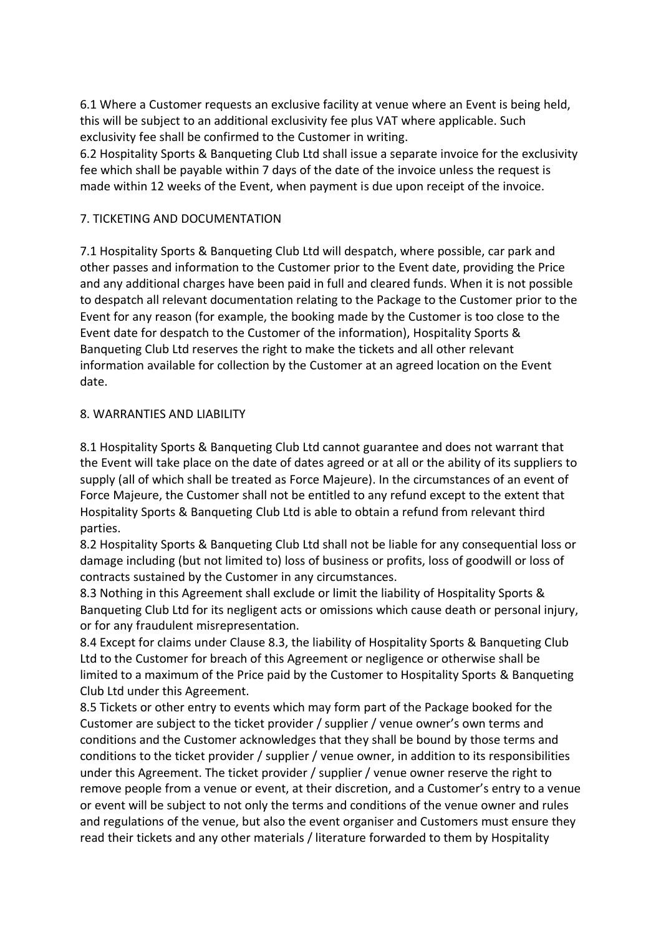6.1 Where a Customer requests an exclusive facility at venue where an Event is being held, this will be subject to an additional exclusivity fee plus VAT where applicable. Such exclusivity fee shall be confirmed to the Customer in writing.

6.2 Hospitality Sports & Banqueting Club Ltd shall issue a separate invoice for the exclusivity fee which shall be payable within 7 days of the date of the invoice unless the request is made within 12 weeks of the Event, when payment is due upon receipt of the invoice.

### 7. TICKETING AND DOCUMENTATION

7.1 Hospitality Sports & Banqueting Club Ltd will despatch, where possible, car park and other passes and information to the Customer prior to the Event date, providing the Price and any additional charges have been paid in full and cleared funds. When it is not possible to despatch all relevant documentation relating to the Package to the Customer prior to the Event for any reason (for example, the booking made by the Customer is too close to the Event date for despatch to the Customer of the information), Hospitality Sports & Banqueting Club Ltd reserves the right to make the tickets and all other relevant information available for collection by the Customer at an agreed location on the Event date.

### 8. WARRANTIES AND LIABILITY

8.1 Hospitality Sports & Banqueting Club Ltd cannot guarantee and does not warrant that the Event will take place on the date of dates agreed or at all or the ability of its suppliers to supply (all of which shall be treated as Force Majeure). In the circumstances of an event of Force Majeure, the Customer shall not be entitled to any refund except to the extent that Hospitality Sports & Banqueting Club Ltd is able to obtain a refund from relevant third parties.

8.2 Hospitality Sports & Banqueting Club Ltd shall not be liable for any consequential loss or damage including (but not limited to) loss of business or profits, loss of goodwill or loss of contracts sustained by the Customer in any circumstances.

8.3 Nothing in this Agreement shall exclude or limit the liability of Hospitality Sports & Banqueting Club Ltd for its negligent acts or omissions which cause death or personal injury, or for any fraudulent misrepresentation.

8.4 Except for claims under Clause 8.3, the liability of Hospitality Sports & Banqueting Club Ltd to the Customer for breach of this Agreement or negligence or otherwise shall be limited to a maximum of the Price paid by the Customer to Hospitality Sports & Banqueting Club Ltd under this Agreement.

8.5 Tickets or other entry to events which may form part of the Package booked for the Customer are subject to the ticket provider / supplier / venue owner's own terms and conditions and the Customer acknowledges that they shall be bound by those terms and conditions to the ticket provider / supplier / venue owner, in addition to its responsibilities under this Agreement. The ticket provider / supplier / venue owner reserve the right to remove people from a venue or event, at their discretion, and a Customer's entry to a venue or event will be subject to not only the terms and conditions of the venue owner and rules and regulations of the venue, but also the event organiser and Customers must ensure they read their tickets and any other materials / literature forwarded to them by Hospitality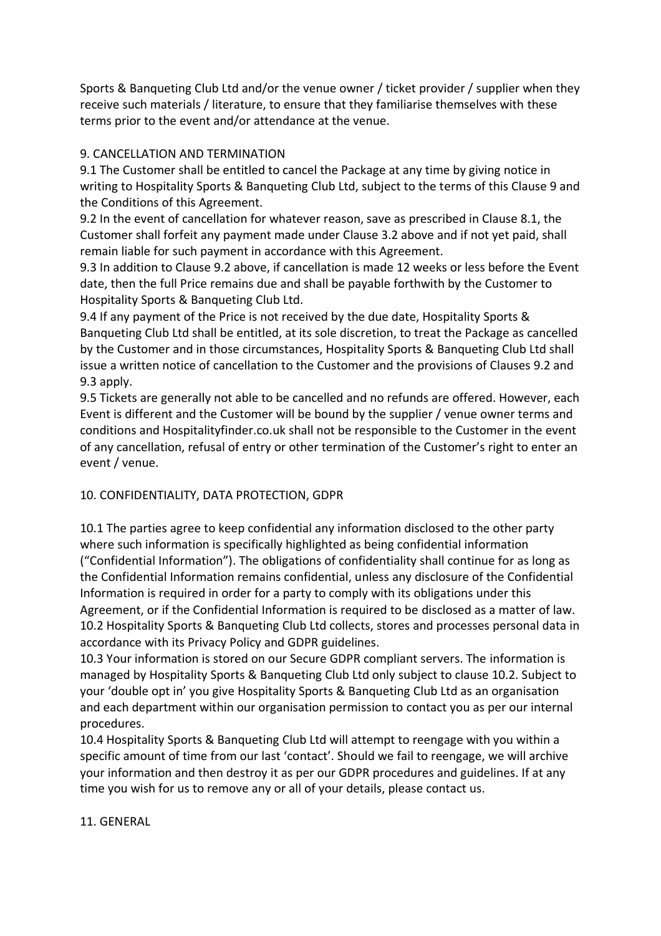Sports & Banqueting Club Ltd and/or the venue owner / ticket provider / supplier when they receive such materials / literature, to ensure that they familiarise themselves with these terms prior to the event and/or attendance at the venue.

## 9. CANCELLATION AND TERMINATION

9.1 The Customer shall be entitled to cancel the Package at any time by giving notice in writing to Hospitality Sports & Banqueting Club Ltd, subject to the terms of this Clause 9 and the Conditions of this Agreement.

9.2 In the event of cancellation for whatever reason, save as prescribed in Clause 8.1, the Customer shall forfeit any payment made under Clause 3.2 above and if not yet paid, shall remain liable for such payment in accordance with this Agreement.

9.3 In addition to Clause 9.2 above, if cancellation is made 12 weeks or less before the Event date, then the full Price remains due and shall be payable forthwith by the Customer to Hospitality Sports & Banqueting Club Ltd.

9.4 If any payment of the Price is not received by the due date, Hospitality Sports & Banqueting Club Ltd shall be entitled, at its sole discretion, to treat the Package as cancelled by the Customer and in those circumstances, Hospitality Sports & Banqueting Club Ltd shall issue a written notice of cancellation to the Customer and the provisions of Clauses 9.2 and 9.3 apply.

9.5 Tickets are generally not able to be cancelled and no refunds are offered. However, each Event is different and the Customer will be bound by the supplier / venue owner terms and conditions and Hospitalityfinder.co.uk shall not be responsible to the Customer in the event of any cancellation, refusal of entry or other termination of the Customer's right to enter an event / venue.

# 10. CONFIDENTIALITY, DATA PROTECTION, GDPR

10.1 The parties agree to keep confidential any information disclosed to the other party where such information is specifically highlighted as being confidential information ("Confidential Information"). The obligations of confidentiality shall continue for as long as the Confidential Information remains confidential, unless any disclosure of the Confidential Information is required in order for a party to comply with its obligations under this Agreement, or if the Confidential Information is required to be disclosed as a matter of law. 10.2 Hospitality Sports & Banqueting Club Ltd collects, stores and processes personal data in accordance with its Privacy Policy and GDPR guidelines.

10.3 Your information is stored on our Secure GDPR compliant servers. The information is managed by Hospitality Sports & Banqueting Club Ltd only subject to clause 10.2. Subject to your 'double opt in' you give Hospitality Sports & Banqueting Club Ltd as an organisation and each department within our organisation permission to contact you as per our internal procedures.

10.4 Hospitality Sports & Banqueting Club Ltd will attempt to reengage with you within a specific amount of time from our last 'contact'. Should we fail to reengage, we will archive your information and then destroy it as per our GDPR procedures and guidelines. If at any time you wish for us to remove any or all of your details, please contact us.

## 11. GENERAL